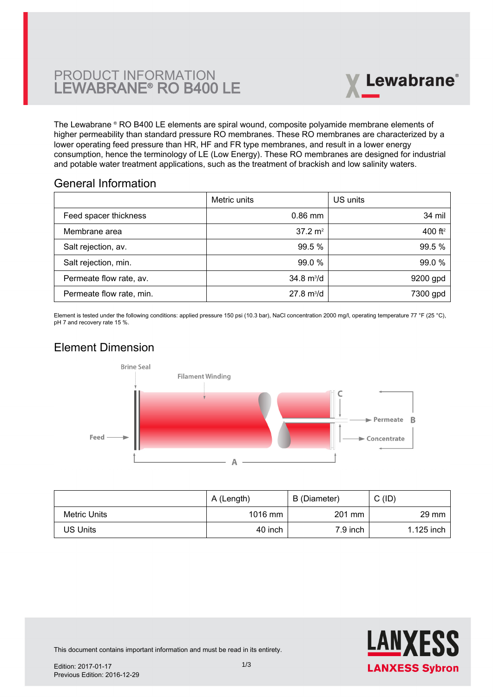# PRODUCT INFORMATION LEWABRANE® RO B400 LE



The Lewabrane ® RO B400 LE elements are spiral wound, composite polyamide membrane elements of higher permeability than standard pressure RO membranes. These RO membranes are characterized by a lower operating feed pressure than HR, HF and FR type membranes, and result in a lower energy [consumption, hence the terminology of LE \(Low Energy\). These RO membranes are designed for industrial](https://www.pureaqua.com/lanxess-lewabrane-b400-le-membrane/) and potable water treatment applications, such as the treatment of brackish and low salinity waters.

## General Information

|                          | Metric units                | US units   |
|--------------------------|-----------------------------|------------|
| Feed spacer thickness    | $0.86$ mm                   | 34 mil     |
| Membrane area            | $37.2 \text{ m}^2$          | 400 $ft^2$ |
| Salt rejection, av.      | 99.5 %                      | 99.5 %     |
| Salt rejection, min.     | 99.0 %                      | 99.0 %     |
| Permeate flow rate, av.  | $34.8 \text{ m}^3/\text{d}$ | 9200 gpd   |
| Permeate flow rate, min. | $27.8 \text{ m}^3/\text{d}$ | 7300 gpd   |

Element is tested under the following conditions: applied pressure 150 psi (10.3 bar), NaCl concentration 2000 mg/l, operating temperature 77 °F (25 °C), pH 7 and recovery rate 15 %.

# Element Dimension



|              | A (Length) | B (Diameter) | C (ID)          |
|--------------|------------|--------------|-----------------|
| Metric Units | 1016 mm    | 201 mm       | $29 \text{ mm}$ |
| US Units     | 40 inch    | 7.9 inch     | 1.125 inch      |



This document contains important information and must be read in its entirety.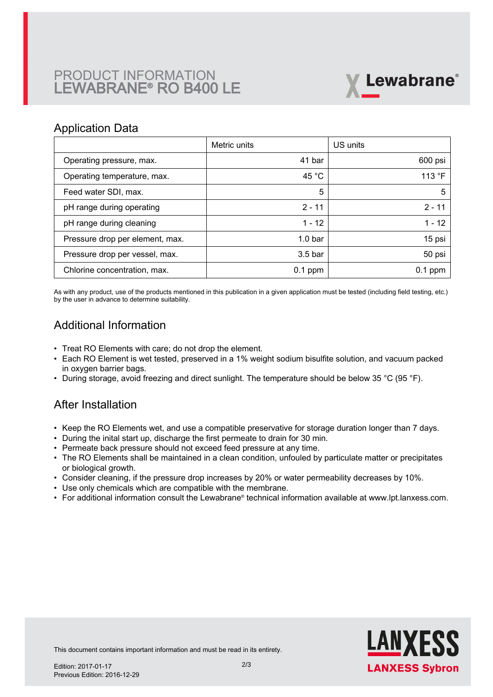# PRODUCT INFORMATION LEWABRANE® RO B400 LE



### Application Data

|                                 | Metric units       | US units        |
|---------------------------------|--------------------|-----------------|
| Operating pressure, max.        | 41 bar             | 600 psi         |
| Operating temperature, max.     | 45 $^{\circ}$ C    | 113 $\degree$ F |
| Feed water SDI, max.            | 5                  | 5               |
| pH range during operating       | $2 - 11$           | $2 - 11$        |
| pH range during cleaning        | $1 - 12$           | $1 - 12$        |
| Pressure drop per element, max. | 1.0 <sub>bar</sub> | 15 psi          |
| Pressure drop per vessel, max.  | 3.5 <sub>bar</sub> | 50 psi          |
| Chlorine concentration, max.    | $0.1$ ppm          | $0.1$ ppm       |

As with any product, use of the products mentioned in this publication in a given application must be tested (including field testing, etc.) by the user in advance to determine suitability.

# Additional Information

- Treat RO Elements with care; do not drop the element.
- Each RO Element is wet tested, preserved in a 1% weight sodium bisulfite solution, and vacuum packed in oxygen barrier bags.
- During storage, avoid freezing and direct sunlight. The temperature should be below 35 °C (95 °F).

## After Installation

- Keep the RO Elements wet, and use a compatible preservative for storage duration longer than 7 days.
- During the inital start up, discharge the first permeate to drain for 30 min.
- Permeate back pressure should not exceed feed pressure at any time.
- The RO Elements shall be maintained in a clean condition, unfouled by particulate matter or precipitates or biological growth.
- Consider cleaning, if the pressure drop increases by 20% or water permeability decreases by 10%.
- Use only chemicals which are compatible with the membrane.
- For additional information consult the Lewabrane® technical information available at www.lpt.lanxess.com.



This document contains important information and must be read in its entirety.